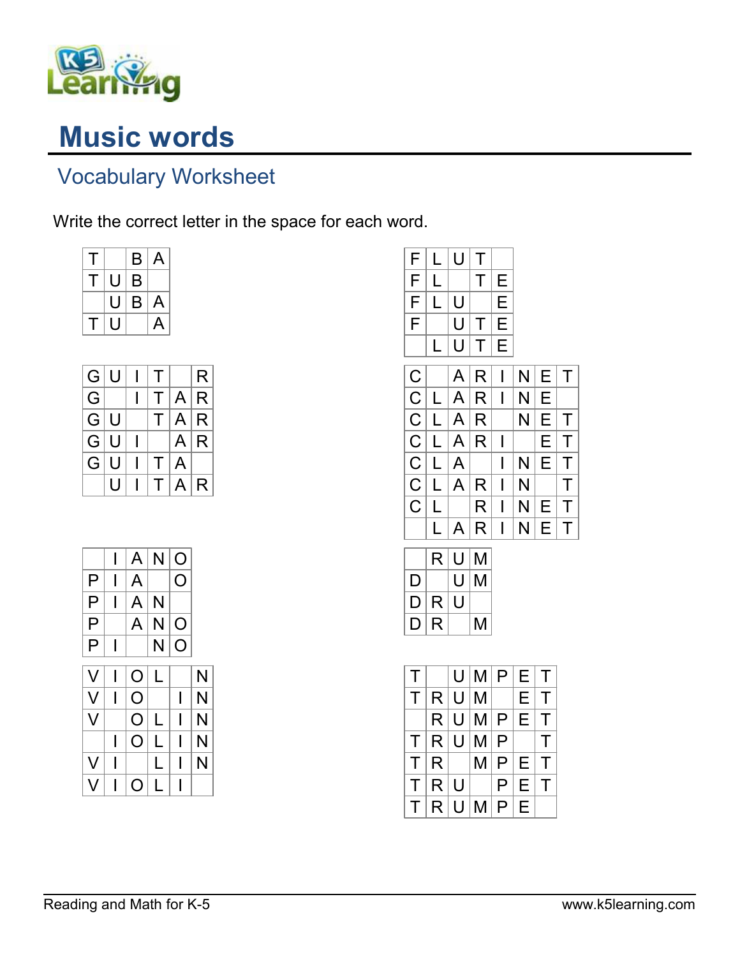

## Music words

## Vocabulary Worksheet

Write the correct letter in the space for each word.

| T. |   | B | A |
|----|---|---|---|
| Ι. | U | B |   |
|    | U | B | A |
| Ľ  | U |   | А |

| G. | U | т      |   | R  |
|----|---|--------|---|----|
| G  |   | т      | A | R  |
| G. | U | Τ      | A | ∣R |
| G  | U |        | A | R  |
| G  | U | т      | A |    |
|    | U | $\top$ | A | R  |

|   |   | A                  | N | O |   |
|---|---|--------------------|---|---|---|
| Ρ |   | A                  |   | O |   |
| Ρ |   | A                  | N |   |   |
| P |   | A                  | N | O |   |
| Ρ | I |                    | N | O |   |
| V |   | O                  | L |   | N |
| V |   | O                  |   | I | N |
| V |   | O                  | L | ı | N |
|   |   | $\left( \ \right)$ |   |   | N |
| V |   |                    | L | ı | N |
| V |   |                    |   | ı |   |

| F                       | L         | U | Τ |                         |   |                         |                         |
|-------------------------|-----------|---|---|-------------------------|---|-------------------------|-------------------------|
| F                       | L         |   | Τ | E                       |   |                         |                         |
| F                       | $\vec{L}$ | U |   | Е                       |   |                         |                         |
| $\overline{\mathsf{F}}$ |           | U | Τ | E                       |   |                         |                         |
|                         | L         | U | T | E                       |   |                         |                         |
| $\overline{C}$          |           | A | R | I                       | N | Е                       | T                       |
| $\overline{C}$          | L         | A | R | I                       | N | Ε                       |                         |
|                         | L         | A | R |                         | N | E                       | Τ                       |
|                         | L         | A | R | I                       |   | E                       | T                       |
| $rac{C}{C}$             | L         | A |   | I                       | N | E                       | $\overline{\mathsf{T}}$ |
| $\overline{C}$          | L         | A | R | I                       | N |                         | $\overline{\mathsf{T}}$ |
| C                       | L         |   | R | I                       | N | Е                       | $\overline{\mathsf{T}}$ |
|                         | L         | A | R | I                       | N | Ε                       | T                       |
|                         | R         | U | M |                         |   |                         |                         |
| D                       |           | U | Μ |                         |   |                         |                         |
| D                       | R         | U |   |                         |   |                         |                         |
| D                       | R         |   | Μ |                         |   |                         |                         |
|                         |           |   |   |                         |   |                         |                         |
| Τ                       |           | U | M | Ρ                       | E | Τ                       |                         |
| T                       | R         | U | M |                         | E | T                       |                         |
|                         | R         | U | M | P                       | E | T                       |                         |
| $\mathsf T$             | R         | U | M | $\overline{P}$          |   | $\overline{\mathsf{T}}$ |                         |
| $\overline{\mathsf{T}}$ | R         |   | M | $\overline{\mathsf{P}}$ | Ε | $\overline{\mathsf{T}}$ |                         |
| $\overline{\mathsf{T}}$ | R         | Ù |   | $\overline{\mathsf{P}}$ | E | $\overline{\mathsf{T}}$ |                         |

 $T | R | U | | P | E | T$  $T$  R U M P E